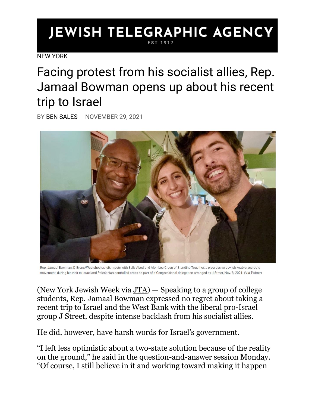## **JEWISH TELEGRAPHIC AGENCY** EST 1917

[NEW YORK](https://www.jta.org/category/ny)

Facing protest from his socialist allies, Rep. Jamaal Bowman opens up about his recent trip to Israel

BY [BEN SALES](https://www.jta.org/author/ben-sales) NOVEMBER 29, 2021



Rep. Jamaal Bowman, D-Bronx/Westchester, left, meets with Sally Abed and Alon-Lee Green of Standing Together, a progressive Jewish-Arab grassroots movement, during his visit to Israel and Palestinian-controlled areas as part of a Congressional delegation arranged by J Street, Nov. 8, 2021. (Via Twitter)

(New York Jewish Week via [JTA\)](http://www.jta.org/) — Speaking to a group of college students, Rep. Jamaal Bowman expressed no regret about taking a recent trip to Israel and the West Bank with the liberal pro-Israel group J Street, despite intense backlash from his socialist allies.

He did, however, have harsh words for Israel's government.

"I left less optimistic about a two-state solution because of the reality on the ground," he said in the question-and-answer session Monday. "Of course, I still believe in it and working toward making it happen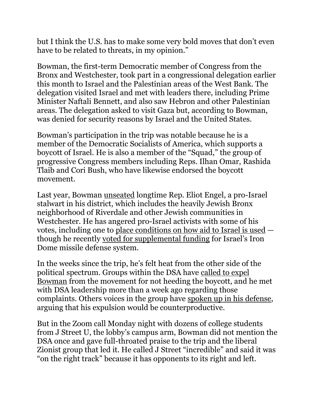but I think the U.S. has to make some very bold moves that don't even have to be related to threats, in my opinion."

Bowman, the first-term Democratic member of Congress from the Bronx and Westchester, took part in a congressional delegation earlier this month to Israel and the Palestinian areas of the West Bank. The delegation visited Israel and met with leaders there, including Prime Minister Naftali Bennett, and also saw Hebron and other Palestinian areas. The delegation asked to visit Gaza but, according to Bowman, was denied for security reasons by Israel and the United States.

Bowman's participation in the trip was notable because he is a member of the Democratic Socialists of America, which supports a boycott of Israel. He is also a member of the "Squad," the group of progressive Congress members including Reps. Ilhan Omar, Rashida Tlaib and Cori Bush, who have likewise endorsed the boycott movement.

Last year, Bowman [unseated](https://www.jta.org/quick-reads/jamaal-bowman-declared-victor-against-eliot-engel) longtime Rep. Eliot Engel, a pro-Israel stalwart in his district, which includes the heavily Jewish Bronx neighborhood of Riverdale and other Jewish communities in Westchester. He has angered pro-Israel activists with some of his votes, including one to [place conditions on how aid to Israel is used](https://mccollum.house.gov/media/press-releases/mccollum-introduces-historic-legislation-defending-human-rights-palestinian) though he recently [voted for supplemental funding](https://www.jta.org/2021/09/27/politics/the-vast-majority-of-progressives-overwhelmingly-backed-iron-dome-funding-but-with-a-caveat) for Israel's Iron Dome missile defense system.

In the weeks since the trip, he's felt heat from the other side of the political spectrum. Groups within the DSA have [called to expel](https://medium.com/@dsapalestinesolidarity/bowmans-j-street-zionist-propaganda-trip-to-apartheid-israel-must-not-stand-d5287014e076)  [Bowman](https://medium.com/@dsapalestinesolidarity/bowmans-j-street-zionist-propaganda-trip-to-apartheid-israel-must-not-stand-d5287014e076) from the movement for not heeding the boycott, and he met with DSA leadership more than a week ago regarding those complaints. Others voices in the group have [spoken up in his defense,](https://docs.google.com/document/d/1d_FBOWt5JqyFvQn5BQuqDBvLe67rLCXKbI0CABhJHx4/edit) arguing that his expulsion would be counterproductive.

But in the Zoom call Monday night with dozens of college students from J Street U, the lobby's campus arm, Bowman did not mention the DSA once and gave full-throated praise to the trip and the liberal Zionist group that led it. He called J Street "incredible" and said it was "on the right track" because it has opponents to its right and left.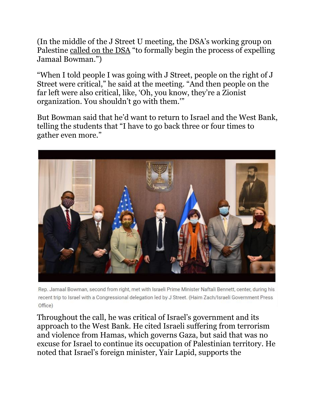(In the middle of the J Street U meeting, the DSA's working group on Palestine [called on the DSA](https://medium.com/@dsapalestinesolidarity/dsa-bds-working-group-formally-calls-for-the-expulsion-of-rep-jamaal-bowman-fa92eba6854a) "to formally begin the process of expelling Jamaal Bowman.")

"When I told people I was going with J Street, people on the right of J Street were critical," he said at the meeting. "And then people on the far left were also critical, like, 'Oh, you know, they're a Zionist organization. You shouldn't go with them.'"

But Bowman said that he'd want to return to Israel and the West Bank, telling the students that "I have to go back three or four times to gather even more."



Rep. Jamaal Bowman, second from right, met with Israeli Prime Minister Naftali Bennett, center, during his recent trip to Israel with a Congressional delegation led by J Street. (Haim Zach/Israeli Government Press Office)

Throughout the call, he was critical of Israel's government and its approach to the West Bank. He cited Israeli suffering from terrorism and violence from Hamas, which governs Gaza, but said that was no excuse for Israel to continue its occupation of Palestinian territory. He noted that Israel's foreign minister, Yair Lapid, supports the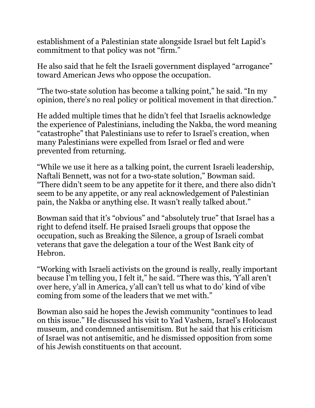establishment of a Palestinian state alongside Israel but felt Lapid's commitment to that policy was not "firm."

He also said that he felt the Israeli government displayed "arrogance" toward American Jews who oppose the occupation.

"The two-state solution has become a talking point," he said. "In my opinion, there's no real policy or political movement in that direction."

He added multiple times that he didn't feel that Israelis acknowledge the experience of Palestinians, including the Nakba, the word meaning "catastrophe" that Palestinians use to refer to Israel's creation, when many Palestinians were expelled from Israel or fled and were prevented from returning.

"While we use it here as a talking point, the current Israeli leadership, Naftali Bennett, was not for a two-state solution," Bowman said. "There didn't seem to be any appetite for it there, and there also didn't seem to be any appetite, or any real acknowledgement of Palestinian pain, the Nakba or anything else. It wasn't really talked about."

Bowman said that it's "obvious" and "absolutely true" that Israel has a right to defend itself. He praised Israeli groups that oppose the occupation, such as Breaking the Silence, a group of Israeli combat veterans that gave the delegation a tour of the West Bank city of Hebron.

"Working with Israeli activists on the ground is really, really important because I'm telling you, I felt it," he said. "There was this, 'Y'all aren't over here, y'all in America, y'all can't tell us what to do' kind of vibe coming from some of the leaders that we met with."

Bowman also said he hopes the Jewish community "continues to lead on this issue." He discussed his visit to Yad Vashem, Israel's Holocaust museum, and condemned antisemitism. But he said that his criticism of Israel was not antisemitic, and he dismissed opposition from some of his Jewish constituents on that account.